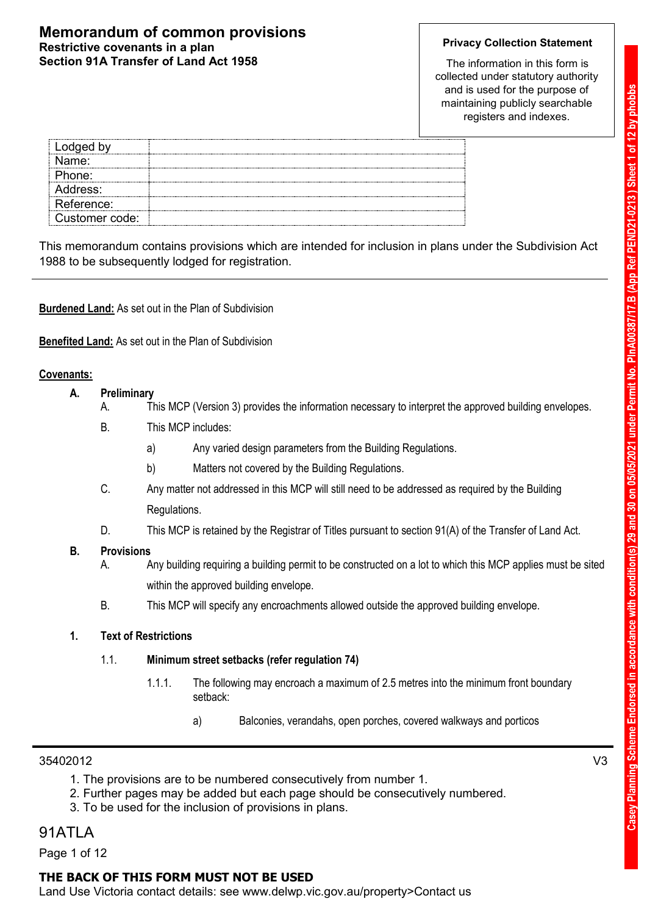### **Memorandum of common provisions Restrictive covenants in a plan Section 91A Transfer of Land Act 1958**

### **Privacy Collection Statement**

The information in this form is collected under statutory authority and is used for the purpose of maintaining publicly searchable registers and indexes.

| Lodged by      |  |
|----------------|--|
| Name:          |  |
| Phone:         |  |
| Address:       |  |
| Reference:     |  |
| Customer code: |  |

This memorandum contains provisions which are intended for inclusion in plans under the Subdivision Act 1988 to be subsequently lodged for registration.

**Burdened Land:** As set out in the Plan of Subdivision

**Benefited Land:** As set out in the Plan of Subdivision

### **Covenants:**

- **A. Preliminary**
	- A. This MCP (Version 3) provides the information necessary to interpret the approved building envelopes.
	- B. This MCP includes:
		- a) Any varied design parameters from the Building Regulations.
		- b) Matters not covered by the Building Regulations.
	- C. Any matter not addressed in this MCP will still need to be addressed as required by the Building Regulations.
	- D. This MCP is retained by the Registrar of Titles pursuant to section 91(A) of the Transfer of Land Act.

### **B. Provisions**

- A. Any building requiring a building permit to be constructed on a lot to which this MCP applies must be sited within the approved building envelope.
- B. This MCP will specify any encroachments allowed outside the approved building envelope.

### **1. Text of Restrictions**

### 1.1. **Minimum street setbacks (refer regulation 74)**

- 1.1.1. The following may encroach a maximum of 2.5 metres into the minimum front boundary setback:
	- a) Balconies, verandahs, open porches, covered walkways and porticos

### 35402012 V3

- 1. The provisions are to be numbered consecutively from number 1.
- 2. Further pages may be added but each page should be consecutively numbered.
- 3. To be used for the inclusion of provisions in plans.

### 91ATLA

Page 1 of 12

### **THE BACK OF THIS FORM MUST NOT BE USED**

Land Use Victoria contact details: see www.delwp.vic.gov.au/property>Contact us

Casey Planning Scheme Endorsed in accordance with condition(s) 29 and 30 on 05/05/2021 under Permit No. PlnA00387/17.B (App Ref PEND21-0213) Sheet 1 of 12 by phobbs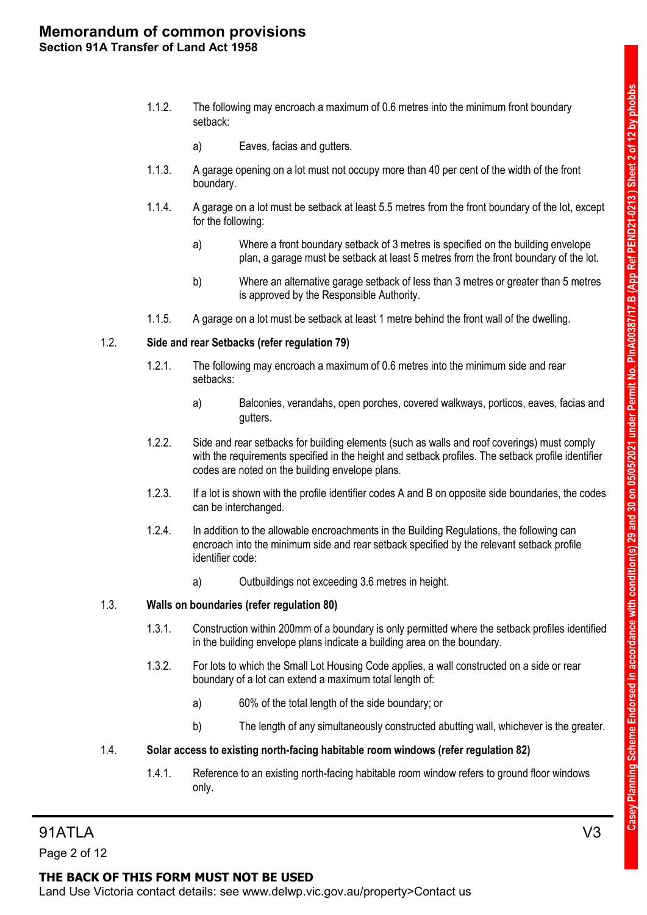- 1.1.2. The following may encroach a maximum of 0.6 metres into the minimum front boundary setback:
	- a) Eaves, facias and gutters.
- 1.1.3. A garage opening on a lot must not occupy more than 40 per cent of the width of the front boundary.
- 1.1.4. A garage on a lot must be setback at least 5.5 metres from the front boundary of the lot, except for the following:
	- a) Where a front boundary setback of 3 metres is specified on the building envelope plan, a garage must be setback at least 5 metres from the front boundary of the lot.
	- b) Where an alternative garage setback of less than 3 metres or greater than 5 metres is approved by the Responsible Authority.
- 1.1.5. A garage on a lot must be setback at least 1 metre behind the front wall of the dwelling.

### 1.2. **Side and rear Setbacks (refer regulation 79)**

- 1.2.1. The following may encroach a maximum of 0.6 metres into the minimum side and rear setbacks:
	- a) Balconies, verandahs, open porches, covered walkways, porticos, eaves, facias and gutters.
- 1.2.2. Side and rear setbacks for building elements (such as walls and roof coverings) must comply with the requirements specified in the height and setback profiles. The setback profile identifier codes are noted on the building envelope plans.
- 1.2.3. If a lot is shown with the profile identifier codes A and B on opposite side boundaries, the codes can be interchanged.
- 1.2.4. In addition to the allowable encroachments in the Building Regulations, the following can encroach into the minimum side and rear setback specified by the relevant setback profile identifier code:
	- a) Outbuildings not exceeding 3.6 metres in height.

### 1.3. **Walls on boundaries (refer regulation 80)**

- 1.3.1. Construction within 200mm of a boundary is only permitted where the setback profiles identified in the building envelope plans indicate a building area on the boundary.
- 1.3.2. For lots to which the Small Lot Housing Code applies, a wall constructed on a side or rear boundary of a lot can extend a maximum total length of:
	- a) 60% of the total length of the side boundary; or
	- b) The length of any simultaneously constructed abutting wall, whichever is the greater.

### 1.4. **Solar access to existing north-facing habitable room windows (refer regulation 82)**

1.4.1. Reference to an existing north-facing habitable room window refers to ground floor windows only.

Page 2 of 12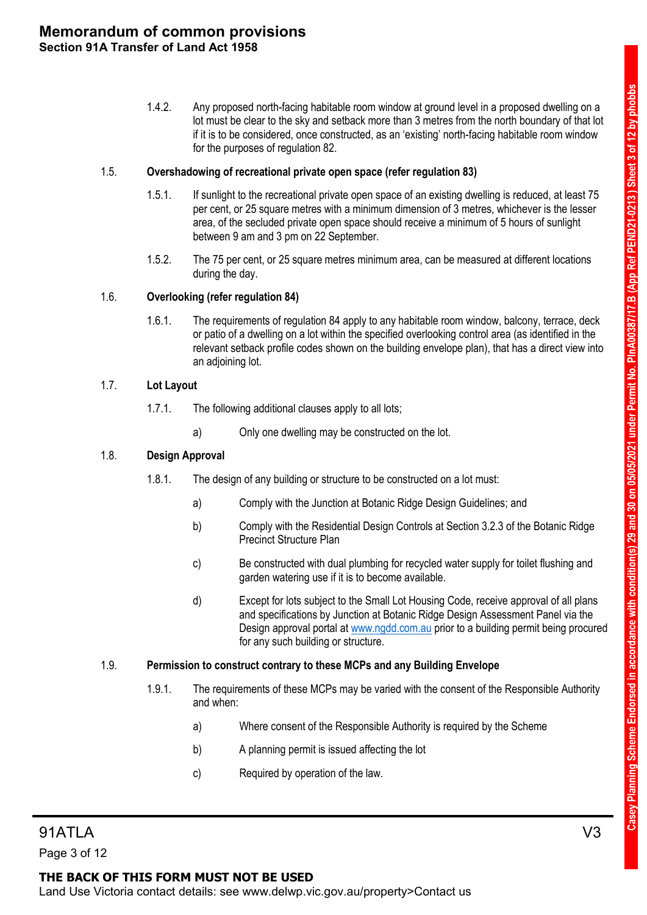1.4.2. Any proposed north-facing habitable room window at ground level in a proposed dwelling on a lot must be clear to the sky and setback more than 3 metres from the north boundary of that lot if it is to be considered, once constructed, as an 'existing' north-facing habitable room window for the purposes of regulation 82.

### 1.5. **Overshadowing of recreational private open space (refer regulation 83)**

- 1.5.1. If sunlight to the recreational private open space of an existing dwelling is reduced, at least 75 per cent, or 25 square metres with a minimum dimension of 3 metres, whichever is the lesser area, of the secluded private open space should receive a minimum of 5 hours of sunlight between 9 am and 3 pm on 22 September.
- 1.5.2. The 75 per cent, or 25 square metres minimum area, can be measured at different locations during the day.

### 1.6. **Overlooking (refer regulation 84)**

1.6.1. The requirements of regulation 84 apply to any habitable room window, balcony, terrace, deck or patio of a dwelling on a lot within the specified overlooking control area (as identified in the relevant setback profile codes shown on the building envelope plan), that has a direct view into an adjoining lot.

### 1.7. **Lot Layout**

- 1.7.1. The following additional clauses apply to all lots;
	- a) Only one dwelling may be constructed on the lot.

### 1.8. **Design Approval**

- 1.8.1. The design of any building or structure to be constructed on a lot must:
	- a) Comply with the Junction at Botanic Ridge Design Guidelines; and
	- b) Comply with the Residential Design Controls at Section 3.2.3 of the Botanic Ridge Precinct Structure Plan
	- c) Be constructed with dual plumbing for recycled water supply for toilet flushing and garden watering use if it is to become available.
	- d) Except for lots subject to the Small Lot Housing Code, receive approval of all plans and specifications by Junction at Botanic Ridge Design Assessment Panel via the Design approval portal at [www.ngdd.com.au](http://www.ngdd.com.au/) prior to a building permit being procured for any such building or structure.

### 1.9. **Permission to construct contrary to these MCPs and any Building Envelope**

- 1.9.1. The requirements of these MCPs may be varied with the consent of the Responsible Authority and when:
	- a) Where consent of the Responsible Authority is required by the Scheme
	- b) A planning permit is issued affecting the lot
	- c) Required by operation of the law.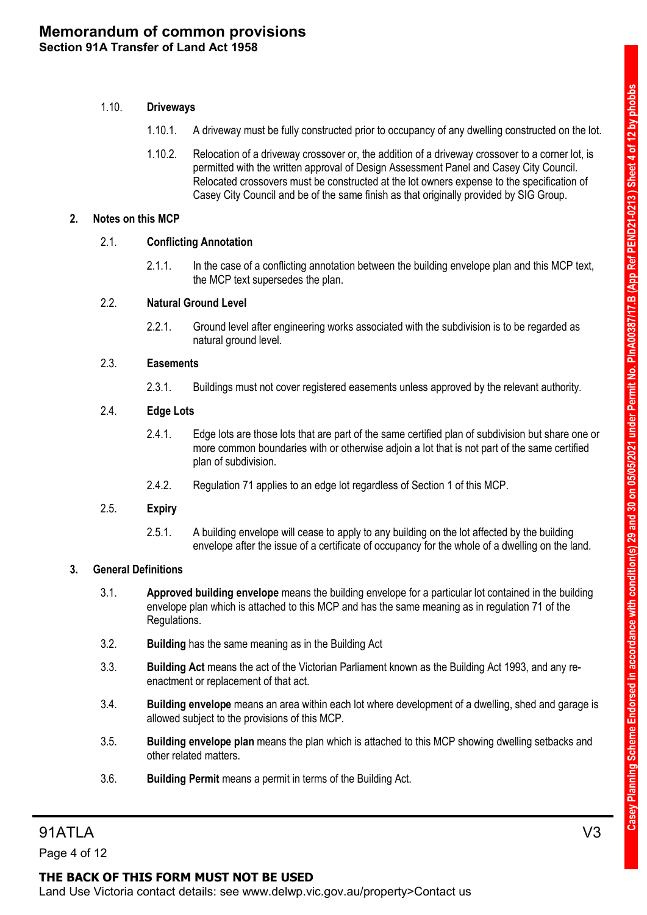### 1.10. **Driveways**

- 1.10.1. A driveway must be fully constructed prior to occupancy of any dwelling constructed on the lot.
- 1.10.2. Relocation of a driveway crossover or, the addition of a driveway crossover to a corner lot, is permitted with the written approval of Design Assessment Panel and Casey City Council. Relocated crossovers must be constructed at the lot owners expense to the specification of Casey City Council and be of the same finish as that originally provided by SIG Group.

### **2. Notes on this MCP**

### 2.1. **Conflicting Annotation**

2.1.1. In the case of a conflicting annotation between the building envelope plan and this MCP text, the MCP text supersedes the plan.

### 2.2. **Natural Ground Level**

2.2.1. Ground level after engineering works associated with the subdivision is to be regarded as natural ground level.

### 2.3. **Easements**

2.3.1. Buildings must not cover registered easements unless approved by the relevant authority.

### 2.4. **Edge Lots**

- 2.4.1. Edge lots are those lots that are part of the same certified plan of subdivision but share one or more common boundaries with or otherwise adjoin a lot that is not part of the same certified plan of subdivision.
- 2.4.2. Regulation 71 applies to an edge lot regardless of Section 1 of this MCP.

### 2.5. **Expiry**

2.5.1. A building envelope will cease to apply to any building on the lot affected by the building envelope after the issue of a certificate of occupancy for the whole of a dwelling on the land.

### **3. General Definitions**

- 3.1. **Approved building envelope** means the building envelope for a particular lot contained in the building envelope plan which is attached to this MCP and has the same meaning as in regulation 71 of the Regulations.
- 3.2. **Building** has the same meaning as in the Building Act
- 3.3. **Building Act** means the act of the Victorian Parliament known as the Building Act 1993, and any reenactment or replacement of that act.
- 3.4. **Building envelope** means an area within each lot where development of a dwelling, shed and garage is allowed subject to the provisions of this MCP.
- 3.5. **Building envelope plan** means the plan which is attached to this MCP showing dwelling setbacks and other related matters.
- 3.6. **Building Permit** means a permit in terms of the Building Act.

Page 4 of 12

### **THE BACK OF THIS FORM MUST NOT BE USED**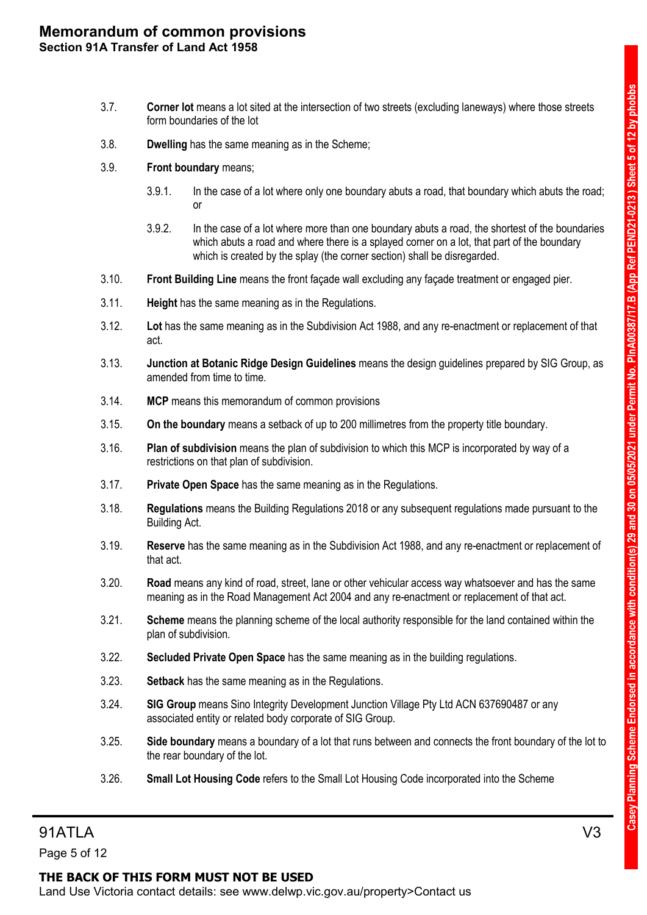- 3.7. **Corner lot** means a lot sited at the intersection of two streets (excluding laneways) where those streets form boundaries of the lot
- 3.8. **Dwelling** has the same meaning as in the Scheme;
- 3.9. **Front boundary** means;
	- 3.9.1. In the case of a lot where only one boundary abuts a road, that boundary which abuts the road; or
	- 3.9.2. In the case of a lot where more than one boundary abuts a road, the shortest of the boundaries which abuts a road and where there is a splayed corner on a lot, that part of the boundary which is created by the splay (the corner section) shall be disregarded.
- 3.10. **Front Building Line** means the front façade wall excluding any façade treatment or engaged pier.
- 3.11. **Height** has the same meaning as in the Regulations.
- 3.12. **Lot** has the same meaning as in the Subdivision Act 1988, and any re-enactment or replacement of that act.
- 3.13. **Junction at Botanic Ridge Design Guidelines** means the design guidelines prepared by SIG Group, as amended from time to time.
- 3.14. **MCP** means this memorandum of common provisions
- 3.15. **On the boundary** means a setback of up to 200 millimetres from the property title boundary.
- 3.16. **Plan of subdivision** means the plan of subdivision to which this MCP is incorporated by way of a restrictions on that plan of subdivision.
- 3.17. **Private Open Space** has the same meaning as in the Regulations.
- 3.18. **Regulations** means the Building Regulations 2018 or any subsequent regulations made pursuant to the Building Act.
- 3.19. **Reserve** has the same meaning as in the Subdivision Act 1988, and any re-enactment or replacement of that act.
- 3.20. **Road** means any kind of road, street, lane or other vehicular access way whatsoever and has the same meaning as in the Road Management Act 2004 and any re-enactment or replacement of that act.
- 3.21. **Scheme** means the planning scheme of the local authority responsible for the land contained within the plan of subdivision.
- 3.22. **Secluded Private Open Space** has the same meaning as in the building regulations.
- 3.23. **Setback** has the same meaning as in the Regulations.
- 3.24. **SIG Group** means Sino Integrity Development Junction Village Pty Ltd ACN 637690487 or any associated entity or related body corporate of SIG Group.
- 3.25. **Side boundary** means a boundary of a lot that runs between and connects the front boundary of the lot to the rear boundary of the lot.
- 3.26. **Small Lot Housing Code** refers to the Small Lot Housing Code incorporated into the Scheme

### 91ATLA V3

Page 5 of 12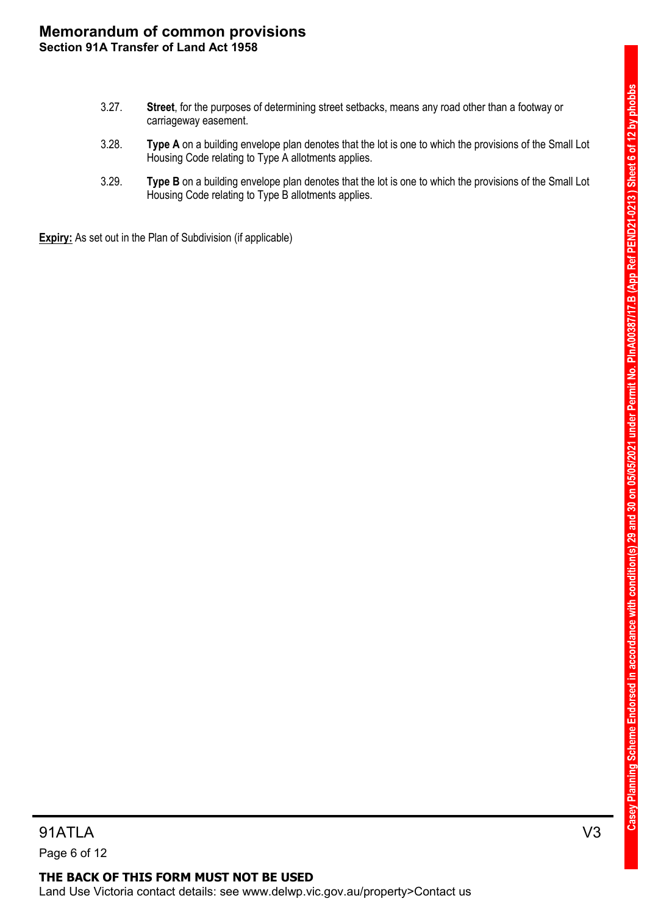- 3.27. **Street**, for the purposes of determining street setbacks, means any road other than a footway or carriageway easement.
- 3.28. **Type A** on a building envelope plan denotes that the lot is one to which the provisions of the Small Lot Housing Code relating to Type A allotments applies.
- 3.29. **Type B** on a building envelope plan denotes that the lot is one to which the provisions of the Small Lot Housing Code relating to Type B allotments applies.

**Expiry:** As set out in the Plan of Subdivision (if applicable)

91ATLA V3 Page 6 of 12

### **THE BACK OF THIS FORM MUST NOT BE USED** Land Use Victoria contact details: see www.delwp.vic.gov.au/property>Contact us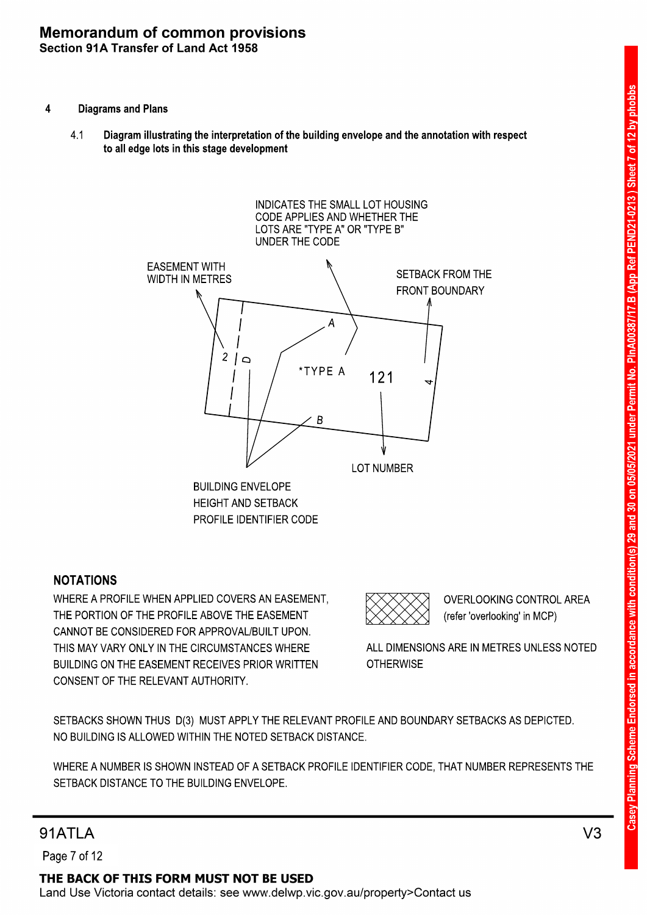- 4 Diagrams and Plans
	- Diagram illustrating the interpretation of the building envelope and the annotation with respect to all edge lots in this stage development 4.1



### NOTATIONS

CONSENT OF THE RELEVANT AUTHORITY. BUILDING ON THE EASEMENT RECEIVES PRIOR WRITTEN THIS MAY VARY ONLY IN THE CIRCUMSTANCES WHERE CANNOT BE CONSIDERED FOR APPROVAL/BUILT UPON. THE PORTION OF THE PROFILE ABOVE THE EASEMENT WHERE A PROFILE WHEN APPLIED COVERS AN EASEMENT,

(refer 'overlooking' in MCP) OVERLOOKING CONTROL AREA

**OTHERWISE** ALL DIMENSIONS ARE IN METRES UNLESS NOTED

NO BUILDING IS ALLOWED WITHIN THE NOTED SETBACK DISTANCE. SETBACKS SHOWN THUS D(3) MUST APPLY THE RELEVANT PROFILE AND BOUNDARY SETBACKS AS DEPICTED.

SETBACK DISTANCE TO THE BUILDING ENVELOPE. WHERE A NUMBER IS SHOWN INSTEAD OF A SETBACK PROFILE IDENTIFIER CODE, THAT NUMBER REPRESENTS THE

# 91ATI A

Page 7 of 12

THE BACK OF THIS FORM MUST NOT BE USED Land Use Victoria contact details: see www.delwp.vic.gov.au/property>Contact us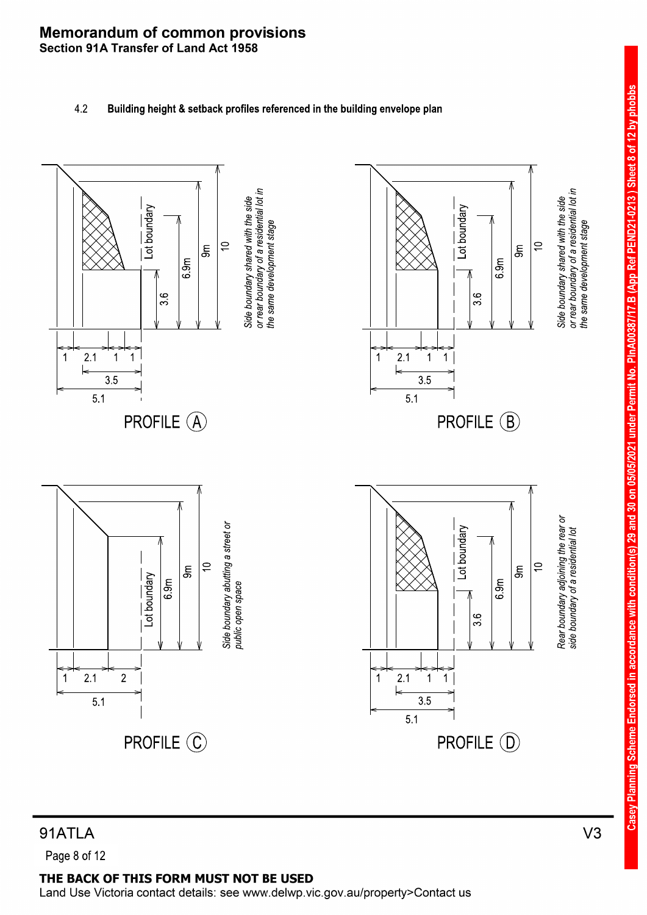### 4.2 Building height & setback profiles referenced in the building envelope plan



# Casey Planning Scheme Endorsed in accordance with condition(s) 29 and 30 on 05/05/2021 under Permit No. PlnA00387/17.B (App Ref PEND21-0213) Sheet 8 of 12 by phobbs

# 91ATLA

Page 8 of 12

### THE BACK OF THIS FORM MUST NOT BE USED

Land Use Victoria contact details: see www.delwp.vic.gov.au/property>Contact us

 $V<sub>3</sub>$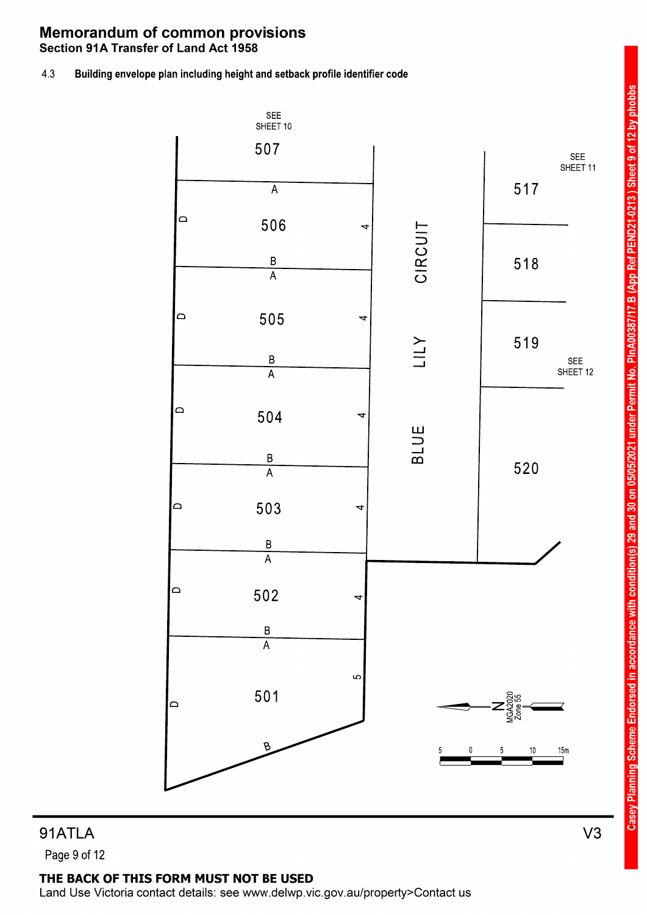4.3 Building envelope plan including height and setback profile identifier code



91ATLA Page 9 of 12

### THE BACK OF THIS FORM MUST NOT BE USED

Land Use Victoria contact details: see www.delwp.vic.gov.au/property>Contact us

Casey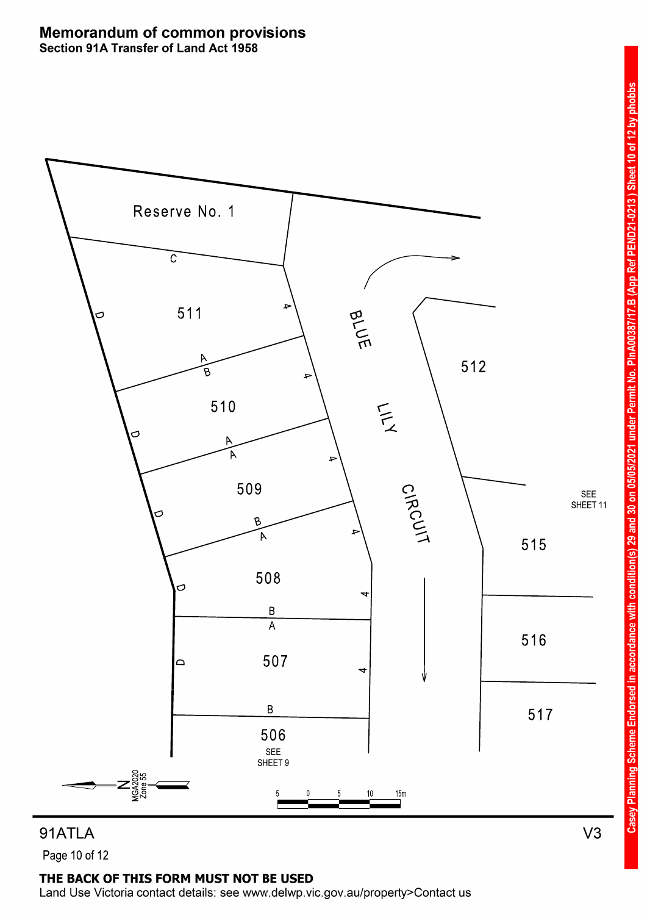

# THE BACK OF THIS FORM MUST NOT BE USED

Land Use Victoria contact details: see www.delwp.vic.gov.au/property>Contact us

Page 10 of 12

**Casey Planning Scheme Endorsed** 

PEND21-0213) Sheet 10 of 12 by phobbs

PInA00387/17.B (App Ref

under Permit No.

2021

in accordance with condition(s) 29 and 30 on 05/0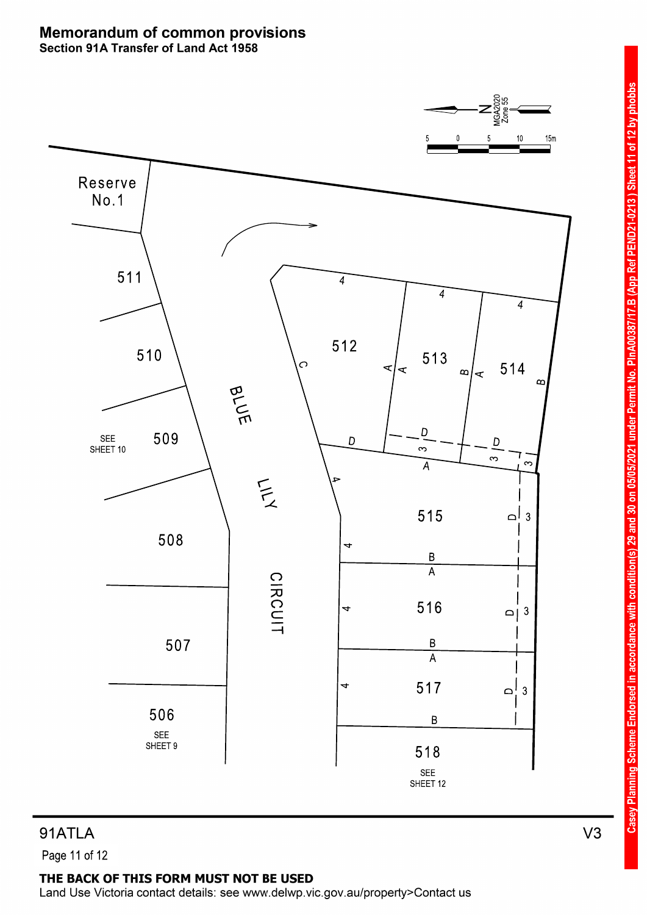

Page 11 of 12

### THE BACK OF THIS FORM MUST NOT BE USED

Land Use Victoria contact details: see www.delwp.vic.gov.au/property>Contact us

 $V3$